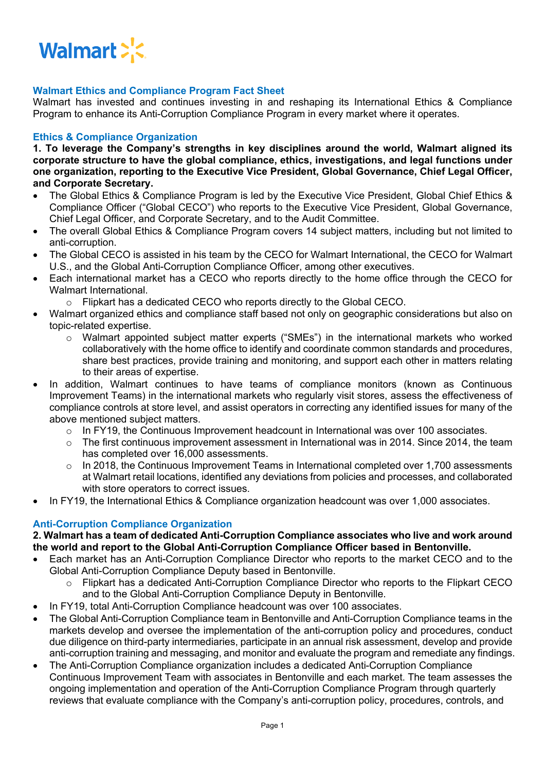

### **Walmart Ethics and Compliance Program Fact Sheet**

Walmart has invested and continues investing in and reshaping its International Ethics & Compliance Program to enhance its Anti-Corruption Compliance Program in every market where it operates.

### **Ethics & Compliance Organization**

**1. To leverage the Company's strengths in key disciplines around the world, Walmart aligned its corporate structure to have the global compliance, ethics, investigations, and legal functions under one organization, reporting to the Executive Vice President, Global Governance, Chief Legal Officer, and Corporate Secretary.**

- The Global Ethics & Compliance Program is led by the Executive Vice President, Global Chief Ethics & Compliance Officer ("Global CECO") who reports to the Executive Vice President, Global Governance, Chief Legal Officer, and Corporate Secretary, and to the Audit Committee.
- The overall Global Ethics & Compliance Program covers 14 subject matters, including but not limited to anti-corruption.
- The Global CECO is assisted in his team by the CECO for Walmart International, the CECO for Walmart U.S., and the Global Anti-Corruption Compliance Officer, among other executives.
- Each international market has a CECO who reports directly to the home office through the CECO for Walmart International.
	- o Flipkart has a dedicated CECO who reports directly to the Global CECO.
- Walmart organized ethics and compliance staff based not only on geographic considerations but also on topic-related expertise.
	- o Walmart appointed subject matter experts ("SMEs") in the international markets who worked collaboratively with the home office to identify and coordinate common standards and procedures, share best practices, provide training and monitoring, and support each other in matters relating to their areas of expertise.
- In addition, Walmart continues to have teams of compliance monitors (known as Continuous Improvement Teams) in the international markets who regularly visit stores, assess the effectiveness of compliance controls at store level, and assist operators in correcting any identified issues for many of the above mentioned subject matters.
	- $\circ$  In FY19, the Continuous Improvement headcount in International was over 100 associates.
	- $\circ$  The first continuous improvement assessment in International was in 2014. Since 2014, the team has completed over 16,000 assessments.
	- o In 2018, the Continuous Improvement Teams in International completed over 1,700 assessments at Walmart retail locations, identified any deviations from policies and processes, and collaborated with store operators to correct issues.
- In FY19, the International Ethics & Compliance organization headcount was over 1,000 associates.

### **Anti-Corruption Compliance Organization**

**2. Walmart has a team of dedicated Anti-Corruption Compliance associates who live and work around the world and report to the Global Anti-Corruption Compliance Officer based in Bentonville.**

- Each market has an Anti-Corruption Compliance Director who reports to the market CECO and to the Global Anti-Corruption Compliance Deputy based in Bentonville.
	- $\circ$  Flipkart has a dedicated Anti-Corruption Compliance Director who reports to the Flipkart CECO and to the Global Anti-Corruption Compliance Deputy in Bentonville.
- In FY19, total Anti-Corruption Compliance headcount was over 100 associates.
- The Global Anti-Corruption Compliance team in Bentonville and Anti-Corruption Compliance teams in the markets develop and oversee the implementation of the anti-corruption policy and procedures, conduct due diligence on third-party intermediaries, participate in an annual risk assessment, develop and provide anti-corruption training and messaging, and monitor and evaluate the program and remediate any findings.
- The Anti-Corruption Compliance organization includes a dedicated Anti-Corruption Compliance Continuous Improvement Team with associates in Bentonville and each market. The team assesses the ongoing implementation and operation of the Anti-Corruption Compliance Program through quarterly reviews that evaluate compliance with the Company's anti-corruption policy, procedures, controls, and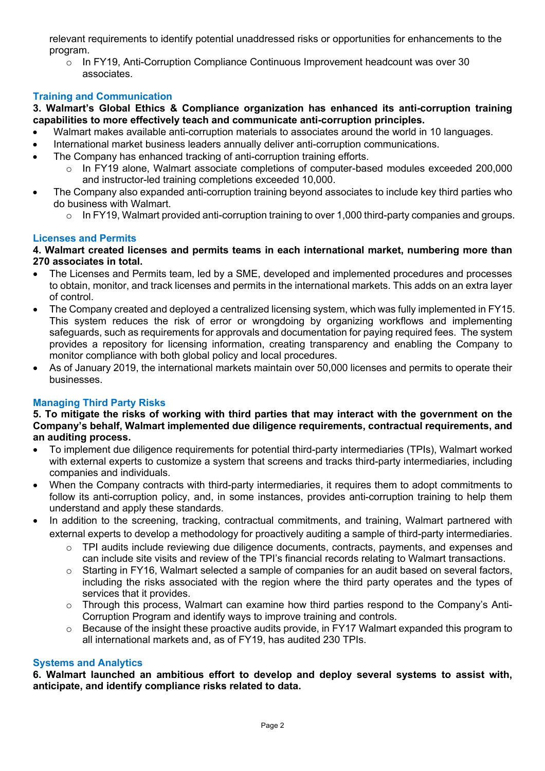relevant requirements to identify potential unaddressed risks or opportunities for enhancements to the program.

o In FY19, Anti-Corruption Compliance Continuous Improvement headcount was over 30 associates.

# **Training and Communication**

**3. Walmart's Global Ethics & Compliance organization has enhanced its anti-corruption training capabilities to more effectively teach and communicate anti-corruption principles.** 

- Walmart makes available anti-corruption materials to associates around the world in 10 languages.
- International market business leaders annually deliver anti-corruption communications.
- The Company has enhanced tracking of anti-corruption training efforts.
	- o In FY19 alone, Walmart associate completions of computer-based modules exceeded 200,000 and instructor-led training completions exceeded 10,000.
- The Company also expanded anti-corruption training beyond associates to include key third parties who do business with Walmart.
	- $\circ$  In FY19, Walmart provided anti-corruption training to over 1,000 third-party companies and groups.

## **Licenses and Permits**

### **4. Walmart created licenses and permits teams in each international market, numbering more than 270 associates in total.**

- The Licenses and Permits team, led by a SME, developed and implemented procedures and processes to obtain, monitor, and track licenses and permits in the international markets. This adds on an extra layer of control.
- The Company created and deployed a centralized licensing system, which was fully implemented in FY15. This system reduces the risk of error or wrongdoing by organizing workflows and implementing safeguards, such as requirements for approvals and documentation for paying required fees. The system provides a repository for licensing information, creating transparency and enabling the Company to monitor compliance with both global policy and local procedures.
- As of January 2019, the international markets maintain over 50,000 licenses and permits to operate their businesses.

## **Managing Third Party Risks**

#### 5. To mitigate the risks of working with third parties that may interact with the government on the **Company's behalf, Walmart implemented due diligence requirements, contractual requirements, and an auditing process.**

- To implement due diligence requirements for potential third-party intermediaries (TPIs), Walmart worked with external experts to customize a system that screens and tracks third-party intermediaries, including companies and individuals.
- When the Company contracts with third-party intermediaries, it requires them to adopt commitments to follow its anti-corruption policy, and, in some instances, provides anti-corruption training to help them understand and apply these standards.
- In addition to the screening, tracking, contractual commitments, and training, Walmart partnered with external experts to develop a methodology for proactively auditing a sample of third-party intermediaries.
	- $\circ$  TPI audits include reviewing due diligence documents, contracts, payments, and expenses and can include site visits and review of the TPI's financial records relating to Walmart transactions.
	- o Starting in FY16, Walmart selected a sample of companies for an audit based on several factors, including the risks associated with the region where the third party operates and the types of services that it provides.
	- o Through this process, Walmart can examine how third parties respond to the Company's Anti-Corruption Program and identify ways to improve training and controls.
	- $\circ$  Because of the insight these proactive audits provide, in FY17 Walmart expanded this program to all international markets and, as of FY19, has audited 230 TPIs.

### **Systems and Analytics**

**6. Walmart launched an ambitious effort to develop and deploy several systems to assist with, anticipate, and identify compliance risks related to data.**